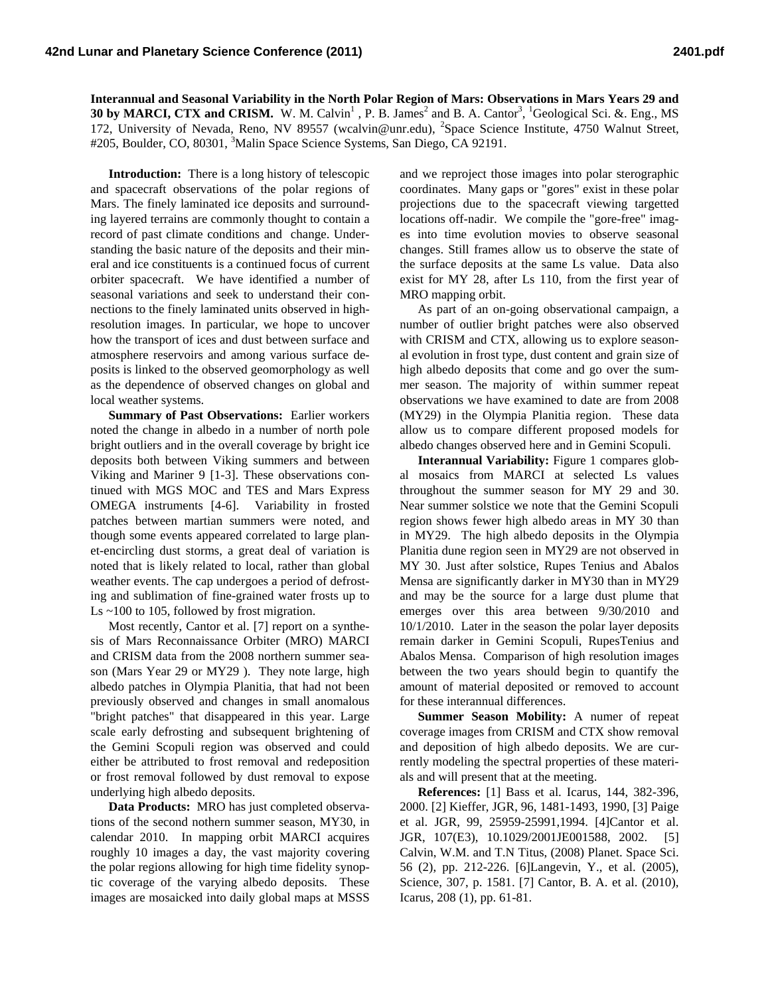**Interannual and Seasonal Variability in the North Polar Region of Mars: Observations in Mars Years 29 and 30 by MARCI, CTX and CRISM.** W. M. Calvin<sup>1</sup>, P. B. James<sup>2</sup> and B. A. Cantor<sup>3</sup>, <sup>1</sup>Geological Sci. &. Eng., MS 172, University of Nevada, Reno, NV 89557 (wcalvin@unr.edu), <sup>2</sup>Space Science Institute, 4750 Walnut Street, #205, Boulder, CO, 80301, <sup>3</sup>Malin Space Science Systems, San Diego, CA 92191.

**Introduction:** There is a long history of telescopic and spacecraft observations of the polar regions of Mars. The finely laminated ice deposits and surrounding layered terrains are commonly thought to contain a record of past climate conditions and change. Understanding the basic nature of the deposits and their mineral and ice constituents is a continued focus of current orbiter spacecraft. We have identified a number of seasonal variations and seek to understand their connections to the finely laminated units observed in highresolution images. In particular, we hope to uncover how the transport of ices and dust between surface and atmosphere reservoirs and among various surface deposits is linked to the observed geomorphology as well as the dependence of observed changes on global and local weather systems.

**Summary of Past Observations:** Earlier workers noted the change in albedo in a number of north pole bright outliers and in the overall coverage by bright ice deposits both between Viking summers and between Viking and Mariner 9 [1-3]. These observations continued with MGS MOC and TES and Mars Express OMEGA instruments [4-6]. Variability in frosted patches between martian summers were noted, and though some events appeared correlated to large planet-encircling dust storms, a great deal of variation is noted that is likely related to local, rather than global weather events. The cap undergoes a period of defrosting and sublimation of fine-grained water frosts up to Ls ~100 to 105, followed by frost migration.

Most recently, Cantor et al. [7] report on a synthesis of Mars Reconnaissance Orbiter (MRO) MARCI and CRISM data from the 2008 northern summer season (Mars Year 29 or MY29 ). They note large, high albedo patches in Olympia Planitia, that had not been previously observed and changes in small anomalous "bright patches" that disappeared in this year. Large scale early defrosting and subsequent brightening of the Gemini Scopuli region was observed and could either be attributed to frost removal and redeposition or frost removal followed by dust removal to expose underlying high albedo deposits.

**Data Products:** MRO has just completed observations of the second nothern summer season, MY30, in calendar 2010. In mapping orbit MARCI acquires roughly 10 images a day, the vast majority covering the polar regions allowing for high time fidelity synoptic coverage of the varying albedo deposits. These images are mosaicked into daily global maps at MSSS

and we reproject those images into polar sterographic coordinates. Many gaps or "gores" exist in these polar projections due to the spacecraft viewing targetted locations off-nadir. We compile the "gore-free" images into time evolution movies to observe seasonal changes. Still frames allow us to observe the state of the surface deposits at the same Ls value. Data also exist for MY 28, after Ls 110, from the first year of MRO mapping orbit.

As part of an on-going observational campaign, a number of outlier bright patches were also observed with CRISM and CTX, allowing us to explore seasonal evolution in frost type, dust content and grain size of high albedo deposits that come and go over the summer season. The majority of within summer repeat observations we have examined to date are from 2008 (MY29) in the Olympia Planitia region. These data allow us to compare different proposed models for albedo changes observed here and in Gemini Scopuli.

**Interannual Variability:** Figure 1 compares global mosaics from MARCI at selected Ls values throughout the summer season for MY 29 and 30. Near summer solstice we note that the Gemini Scopuli region shows fewer high albedo areas in MY 30 than in MY29. The high albedo deposits in the Olympia Planitia dune region seen in MY29 are not observed in MY 30. Just after solstice, Rupes Tenius and Abalos Mensa are significantly darker in MY30 than in MY29 and may be the source for a large dust plume that emerges over this area between 9/30/2010 and 10/1/2010. Later in the season the polar layer deposits remain darker in Gemini Scopuli, RupesTenius and Abalos Mensa. Comparison of high resolution images between the two years should begin to quantify the amount of material deposited or removed to account for these interannual differences.

**Summer Season Mobility:** A numer of repeat coverage images from CRISM and CTX show removal and deposition of high albedo deposits. We are currently modeling the spectral properties of these materials and will present that at the meeting.

**References:** [1] Bass et al. Icarus, 144, 382-396, 2000. [2] Kieffer, JGR, 96, 1481-1493, 1990, [3] Paige et al. JGR, 99, 25959-25991,1994. [4]Cantor et al. JGR, 107(E3), 10.1029/2001JE001588, 2002. [5] Calvin, W.M. and T.N Titus, (2008) Planet. Space Sci. 56 (2), pp. 212-226. [6]Langevin, Y., et al. (2005), Science, 307, p. 1581. [7] Cantor, B. A. et al. (2010), Icarus, 208 (1), pp. 61-81.